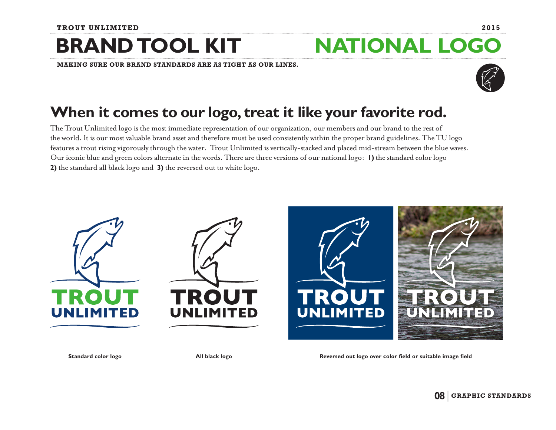### **BRAND TOOL KIT**

**MAKING SURE OUR BRAND STANDARDS ARE AS TIGHT AS OUR LINES.** 



### When it comes to our logo, treat it like your favorite rod.

The Trout Unlimited logo is the most immediate representation of our organization, our members and our brand to the rest of the world. It is our most valuable brand asset and therefore must be used consistently within the proper brand guidelines. The TU logo features a trout rising vigorously through the water. Trout Unlimited is vertically-stacked and placed mid-stream between the blue waves. Our iconic blue and green colors alternate in the words. There are three versions of our national logo: 1) the standard color logo 2) the standard all black logo and 3) the reversed out to white logo.



Standard color logo

All black logo

Reversed out logo over color field or suitable image field

**NATIONAL LOGO** 

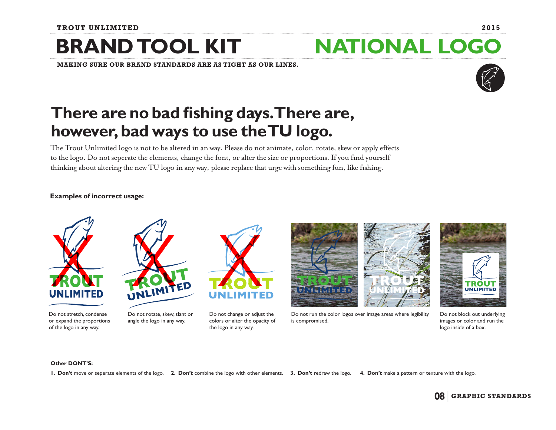## **BRAND TOOL KIT**

**MAKING SURE OUR BRAND STANDARDS ARE AS TIGHT AS OUR LINES.** 

### There are no bad fishing days. There are, however, bad ways to use the TU logo.

The Trout Unlimited logo is not to be altered in an way. Please do not animate, color, rotate, skew or apply effects to the logo. Do not seperate the elements, change the font, or alter the size or proportions. If you find yourself thinking about altering the new TU logo in any way, please replace that urge with something fun, like fishing.

### **Examples of incorrect usage:**





Do not rotate, skew, slant or angle the logo in any way.

Do not change or adjust the colors or alter the opacity of the logo in any way.



Do not run the color logos over image areas where legibility is compromised.



Do not block out underlying images or color and run the logo inside of a box.

#### **Other DONT'S:**

1. Don't move or seperate elements of the logo. 2. Don't combine the logo with other elements. 3. Don't redraw the logo. 4. Don't make a pattern or texture with the logo.

# **NATIONAL LOGO**



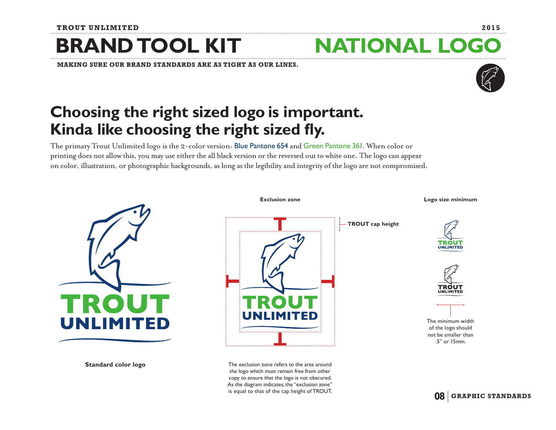#### **TROUT UNLIMITED 2015**

### **BRAND TOOL KIT NATIONAL LOGO**

**MAKING SURE OUR BRAND STANDARDS ARE AS TIGHT AS OUR LINES.** 

### **Choosing the right sized logo is important. Kinda like choosing the right sized fy.**

The primary Trout Unlimited logo is the 2-color version: Blue Pantone 654 and Green Pantone 361. When color or printing does not allow this, you may use either the all black version or the reversed out to white one. The logo can appear on color, illustration, or photographic backgrounds, as long as the legibility and integrity of the logo are not compromised.